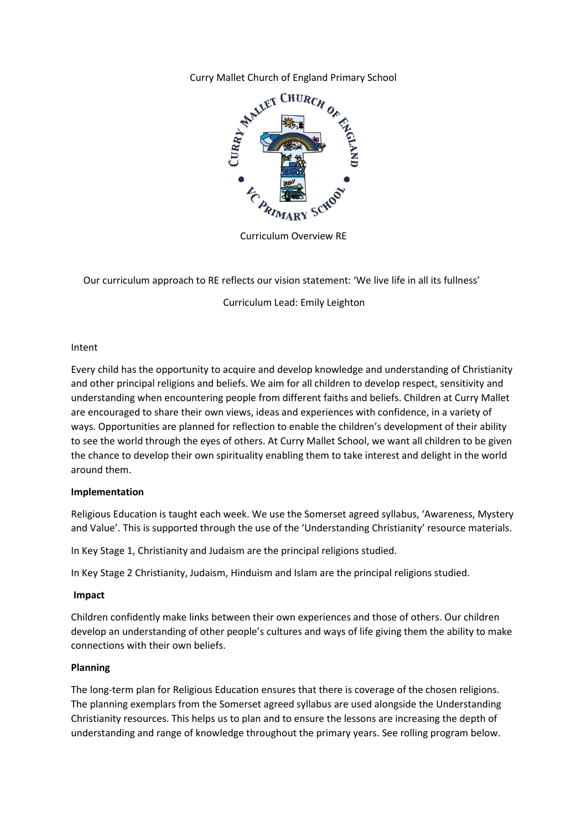Curry Mallet Church of England Primary School



Curriculum Overview RE

Our curriculum approach to RE reflects our vision statement: 'We live life in all its fullness'

Curriculum Lead: Emily Leighton

### Intent

Every child has the opportunity to acquire and develop knowledge and understanding of Christianity and other principal religions and beliefs. We aim for all children to develop respect, sensitivity and understanding when encountering people from different faiths and beliefs. Children at Curry Mallet are encouraged to share their own views, ideas and experiences with confidence, in a variety of ways. Opportunities are planned for reflection to enable the children's development of their ability to see the world through the eyes of others. At Curry Mallet School, we want all children to be given the chance to develop their own spirituality enabling them to take interest and delight in the world around them.

### **Implementation**

Religious Education is taught each week. We use the Somerset agreed syllabus, 'Awareness, Mystery and Value'. This is supported through the use of the 'Understanding Christianity' resource materials.

In Key Stage 1, Christianity and Judaism are the principal religions studied.

In Key Stage 2 Christianity, Judaism, Hinduism and Islam are the principal religions studied.

### **Impact**

Children confidently make links between their own experiences and those of others. Our children develop an understanding of other people's cultures and ways of life giving them the ability to make connections with their own beliefs.

# **Planning**

The long-term plan for Religious Education ensures that there is coverage of the chosen religions. The planning exemplars from the Somerset agreed syllabus are used alongside the Understanding Christianity resources. This helps us to plan and to ensure the lessons are increasing the depth of understanding and range of knowledge throughout the primary years. See rolling program below.